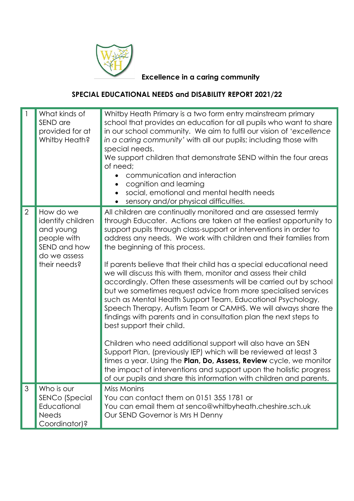

## **Excellence in a caring community**

## **SPECIAL EDUCATIONAL NEEDS and DISABILITY REPORT 2021/22**

|                | What kinds of<br>SEND are<br>provided for at<br>Whitby Heath?                                              | Whitby Heath Primary is a two form entry mainstream primary<br>school that provides an education for all pupils who want to share<br>in our school community. We aim to fulfil our vision of 'excellence<br>in a caring community' with all our pupils; including those with<br>special needs.<br>We support children that demonstrate SEND within the four areas<br>of need;<br>communication and interaction<br>cognition and learning<br>social, emotional and mental health needs<br>sensory and/or physical difficulties.                                                                                                                                                                                                                                                                                                                                                                                                                                                                                                                                                                                  |
|----------------|------------------------------------------------------------------------------------------------------------|-----------------------------------------------------------------------------------------------------------------------------------------------------------------------------------------------------------------------------------------------------------------------------------------------------------------------------------------------------------------------------------------------------------------------------------------------------------------------------------------------------------------------------------------------------------------------------------------------------------------------------------------------------------------------------------------------------------------------------------------------------------------------------------------------------------------------------------------------------------------------------------------------------------------------------------------------------------------------------------------------------------------------------------------------------------------------------------------------------------------|
| $\overline{2}$ | How do we<br>identify children<br>and young<br>people with<br>SEND and how<br>do we assess<br>their needs? | All children are continually monitored and are assessed termly<br>through Educater. Actions are taken at the earliest opportunity to<br>support pupils through class-support or interventions in order to<br>address any needs. We work with children and their families from<br>the beginning of this process.<br>If parents believe that their child has a special educational need<br>we will discuss this with them, monitor and assess their child<br>accordingly. Often these assessments will be carried out by school<br>but we sometimes request advice from more specialised services<br>such as Mental Health Support Team, Educational Psychology,<br>Speech Therapy, Autism Team or CAMHS. We will always share the<br>findings with parents and in consultation plan the next steps to<br>best support their child.<br>Children who need additional support will also have an SEN<br>Support Plan, (previously IEP) which will be reviewed at least 3<br>times a year. Using the Plan, Do, Assess, Review cycle, we monitor<br>the impact of interventions and support upon the holistic progress |
| 3              | Who is our                                                                                                 | of our pupils and share this information with children and parents.<br><b>Miss Monins</b>                                                                                                                                                                                                                                                                                                                                                                                                                                                                                                                                                                                                                                                                                                                                                                                                                                                                                                                                                                                                                       |
|                | <b>SENCo (Special</b><br>Educational<br><b>Needs</b><br>Coordinator)?                                      | You can contact them on 0151 355 1781 or<br>You can email them at senco@whitbyheath.cheshire.sch.uk<br>Our SEND Governor is Mrs H Denny                                                                                                                                                                                                                                                                                                                                                                                                                                                                                                                                                                                                                                                                                                                                                                                                                                                                                                                                                                         |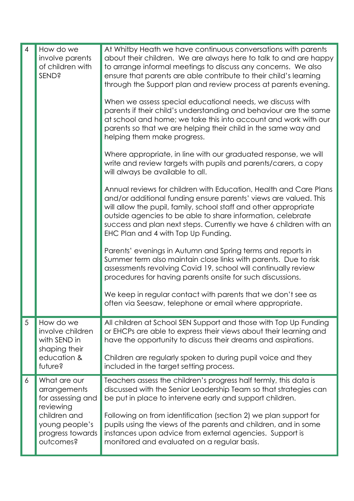| $\overline{4}$ | How do we<br>involve parents<br>of children with<br><b>SEND?</b>                         | At Whitby Heath we have continuous conversations with parents<br>about their children. We are always here to talk to and are happy<br>to arrange informal meetings to discuss any concerns. We also<br>ensure that parents are able contribute to their child's learning<br>through the Support plan and review process at parents evening.<br>When we assess special educational needs, we discuss with<br>parents if their child's understanding and behaviour are the same<br>at school and home; we take this into account and work with our<br>parents so that we are helping their child in the same way and<br>helping them make progress.<br>Where appropriate, in line with our graduated response, we will<br>write and review targets with pupils and parents/carers, a copy<br>will always be available to all.<br>Annual reviews for children with Education, Health and Care Plans |
|----------------|------------------------------------------------------------------------------------------|--------------------------------------------------------------------------------------------------------------------------------------------------------------------------------------------------------------------------------------------------------------------------------------------------------------------------------------------------------------------------------------------------------------------------------------------------------------------------------------------------------------------------------------------------------------------------------------------------------------------------------------------------------------------------------------------------------------------------------------------------------------------------------------------------------------------------------------------------------------------------------------------------|
|                |                                                                                          | and/or additional funding ensure parents' views are valued. This<br>will allow the pupil, family, school staff and other appropriate<br>outside agencies to be able to share information, celebrate<br>success and plan next steps. Currently we have 6 children with an<br>EHC Plan and 4 with Top Up Funding.                                                                                                                                                                                                                                                                                                                                                                                                                                                                                                                                                                                  |
|                |                                                                                          | Parents' evenings in Autumn and Spring terms and reports in<br>Summer term also maintain close links with parents. Due to risk<br>assessments revolving Covid 19, school will continually review<br>procedures for having parents onsite for such discussions.                                                                                                                                                                                                                                                                                                                                                                                                                                                                                                                                                                                                                                   |
|                |                                                                                          | We keep in regular contact with parents that we don't see as<br>often via Seesaw, telephone or email where appropriate.                                                                                                                                                                                                                                                                                                                                                                                                                                                                                                                                                                                                                                                                                                                                                                          |
| 5              | How do we<br>involve children<br>with SEND in<br>shaping their<br>education &<br>future? | All children at School SEN Support and those with Top Up Funding<br>or EHCPs are able to express their views about their learning and<br>have the opportunity to discuss their dreams and aspirations.                                                                                                                                                                                                                                                                                                                                                                                                                                                                                                                                                                                                                                                                                           |
|                |                                                                                          | Children are regularly spoken to during pupil voice and they<br>included in the target setting process.                                                                                                                                                                                                                                                                                                                                                                                                                                                                                                                                                                                                                                                                                                                                                                                          |
| 6              | What are our<br>arrangements<br>for assessing and<br>reviewing<br>children and           | Teachers assess the children's progress half termly, this data is<br>discussed with the Senior Leadership Team so that strategies can<br>be put in place to intervene early and support children.<br>Following on from identification (section 2) we plan support for                                                                                                                                                                                                                                                                                                                                                                                                                                                                                                                                                                                                                            |
|                | young people's<br>progress towards<br>outcomes?                                          | pupils using the views of the parents and children, and in some<br>instances upon advice from external agencies. Support is<br>monitored and evaluated on a regular basis.                                                                                                                                                                                                                                                                                                                                                                                                                                                                                                                                                                                                                                                                                                                       |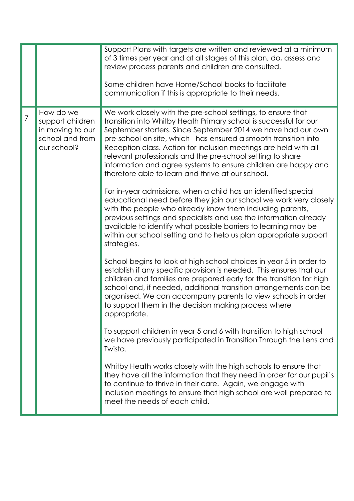|                |                                                                                     | Support Plans with targets are written and reviewed at a minimum<br>of 3 times per year and at all stages of this plan, do, assess and<br>review process parents and children are consulted.<br>Some children have Home/School books to facilitate<br>communication if this is appropriate to their needs.                                                                                                                                                                                                                   |
|----------------|-------------------------------------------------------------------------------------|------------------------------------------------------------------------------------------------------------------------------------------------------------------------------------------------------------------------------------------------------------------------------------------------------------------------------------------------------------------------------------------------------------------------------------------------------------------------------------------------------------------------------|
| $\overline{7}$ | How do we<br>support children<br>in moving to our<br>school and from<br>our school? | We work closely with the pre-school settings, to ensure that<br>transition into Whitby Heath Primary school is successful for our<br>September starters. Since September 2014 we have had our own<br>pre-school on site, which has ensured a smooth transition into<br>Reception class. Action for inclusion meetings are held with all<br>relevant professionals and the pre-school setting to share<br>information and agree systems to ensure children are happy and<br>therefore able to learn and thrive at our school. |
|                |                                                                                     | For in-year admissions, when a child has an identified special<br>educational need before they join our school we work very closely<br>with the people who already know them including parents,<br>previous settings and specialists and use the information already<br>available to identify what possible barriers to learning may be<br>within our school setting and to help us plan appropriate support<br>strategies.                                                                                                  |
|                |                                                                                     | School begins to look at high school choices in year 5 in order to<br>establish if any specific provision is needed. This ensures that our<br>children and families are prepared early for the transition for high<br>school and, if needed, additional transition arrangements can be<br>organised. We can accompany parents to view schools in order<br>to support them in the decision making process where<br>appropriate.                                                                                               |
|                |                                                                                     | To support children in year 5 and 6 with transition to high school<br>we have previously participated in Transition Through the Lens and<br>Twista.                                                                                                                                                                                                                                                                                                                                                                          |
|                |                                                                                     | Whitby Heath works closely with the high schools to ensure that<br>they have all the information that they need in order for our pupil's<br>to continue to thrive in their care. Again, we engage with<br>inclusion meetings to ensure that high school are well prepared to<br>meet the needs of each child.                                                                                                                                                                                                                |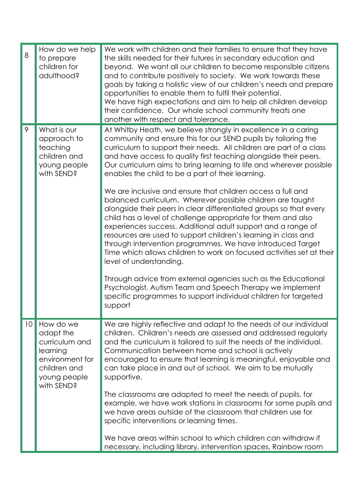| 8  | How do we help<br>to prepare<br>children for<br>adulthood?                                                            | We work with children and their families to ensure that they have<br>the skills needed for their futures in secondary education and<br>beyond. We want all our children to become responsible citizens<br>and to contribute positively to society. We work towards these<br>goals by taking a holistic view of our children's needs and prepare<br>opportunities to enable them to fulfil their potential.<br>We have high expectations and aim to help all children develop<br>their confidence. Our whole school community treats one<br>another with respect and tolerance.                                                                                                                                                                                                                                                                                                                                                                                                                                                                                                                                                                                                             |
|----|-----------------------------------------------------------------------------------------------------------------------|--------------------------------------------------------------------------------------------------------------------------------------------------------------------------------------------------------------------------------------------------------------------------------------------------------------------------------------------------------------------------------------------------------------------------------------------------------------------------------------------------------------------------------------------------------------------------------------------------------------------------------------------------------------------------------------------------------------------------------------------------------------------------------------------------------------------------------------------------------------------------------------------------------------------------------------------------------------------------------------------------------------------------------------------------------------------------------------------------------------------------------------------------------------------------------------------|
| 9  | What is our<br>approach to<br>teaching<br>children and<br>young people<br>with SEND?                                  | At Whitby Heath, we believe strongly in excellence in a caring<br>community and ensure this for our SEND pupils by tailoring the<br>curriculum to support their needs. All children are part of a class<br>and have access to quality first teaching alongside their peers.<br>Our curriculum aims to bring learning to life and wherever possible<br>enables the child to be a part of their learning.<br>We are inclusive and ensure that children access a full and<br>balanced curriculum. Wherever possible children are taught<br>alongside their peers in clear differentiated groups so that every<br>child has a level of challenge appropriate for them and also<br>experiences success. Additional adult support and a range of<br>resources are used to support children's learning in class and<br>through intervention programmes. We have introduced Target<br>Time which allows children to work on focused activities set at their<br>level of understanding.<br>Through advice from external agencies such as the Educational<br>Psychologist, Autism Team and Speech Therapy we implement<br>specific programmes to support individual children for targeted<br>support |
| 10 | How do we<br>adapt the<br>curriculum and<br>learning<br>environment for<br>children and<br>young people<br>with SEND? | We are highly reflective and adapt to the needs of our individual<br>children. Children's needs are assessed and addressed regularly<br>and the curriculum is tailored to suit the needs of the individual.<br>Communication between home and school is actively<br>encouraged to ensure that learning is meaningful, enjoyable and<br>can take place in and out of school. We aim to be mutually<br>supportive.<br>The classrooms are adapted to meet the needs of pupils, for<br>example, we have work stations in classrooms for some pupils and<br>we have areas outside of the classroom that children use for<br>specific interventions or learning times.<br>We have areas within school to which children can withdraw if<br>necessary, including library, intervention spaces, Rainbow room                                                                                                                                                                                                                                                                                                                                                                                       |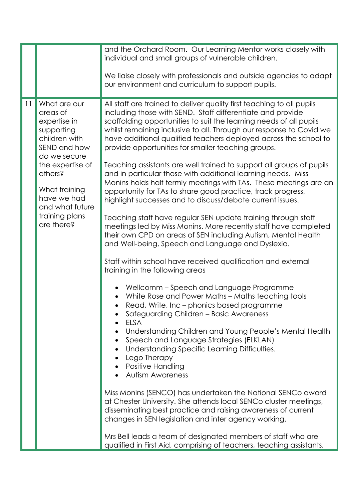|    |                                                                                                                                                                                                                           | and the Orchard Room. Our Learning Mentor works closely with<br>individual and small groups of vulnerable children.<br>We liaise closely with professionals and outside agencies to adapt                                                                                                                                                                                                                                                                                                                                                                                                                                                                                                                                                                                                                                                                                                                                                                                                                                                                                                                                                                                                                                                                                                                                                                                                                                                                                                                                                                                                                                                                                                                                                                                                                                                                                   |
|----|---------------------------------------------------------------------------------------------------------------------------------------------------------------------------------------------------------------------------|-----------------------------------------------------------------------------------------------------------------------------------------------------------------------------------------------------------------------------------------------------------------------------------------------------------------------------------------------------------------------------------------------------------------------------------------------------------------------------------------------------------------------------------------------------------------------------------------------------------------------------------------------------------------------------------------------------------------------------------------------------------------------------------------------------------------------------------------------------------------------------------------------------------------------------------------------------------------------------------------------------------------------------------------------------------------------------------------------------------------------------------------------------------------------------------------------------------------------------------------------------------------------------------------------------------------------------------------------------------------------------------------------------------------------------------------------------------------------------------------------------------------------------------------------------------------------------------------------------------------------------------------------------------------------------------------------------------------------------------------------------------------------------------------------------------------------------------------------------------------------------|
|    |                                                                                                                                                                                                                           | our environment and curriculum to support pupils.                                                                                                                                                                                                                                                                                                                                                                                                                                                                                                                                                                                                                                                                                                                                                                                                                                                                                                                                                                                                                                                                                                                                                                                                                                                                                                                                                                                                                                                                                                                                                                                                                                                                                                                                                                                                                           |
| 11 | What are our<br>areas of<br>expertise in<br>supporting<br>children with<br>SEND and how<br>do we secure<br>the expertise of<br>others?<br>What training<br>have we had<br>and what future<br>training plans<br>are there? | All staff are trained to deliver quality first teaching to all pupils<br>including those with SEND. Staff differentiate and provide<br>scaffolding opportunities to suit the learning needs of all pupils<br>whilst remaining inclusive to all. Through our response to Covid we<br>have additional qualified teachers deployed across the school to<br>provide opportunities for smaller teaching groups.<br>Teaching assistants are well trained to support all groups of pupils<br>and in particular those with additional learning needs. Miss<br>Monins holds half termly meetings with TAs. These meetings are an<br>opportunity for TAs to share good practice, track progress,<br>highlight successes and to discuss/debate current issues.<br>Teaching staff have regular SEN update training through staff<br>meetings led by Miss Monins. More recently staff have completed<br>their own CPD on areas of SEN including Autism, Mental Health<br>and Well-being, Speech and Language and Dyslexia.<br>Staff within school have received qualification and external<br>training in the following areas<br>Wellcomm - Speech and Language Programme<br>White Rose and Power Maths - Maths teaching tools<br>Read, Write, Inc - phonics based programme<br>Safeguarding Children - Basic Awareness<br><b>ELSA</b><br>Understanding Children and Young People's Mental Health<br>Speech and Language Strategies (ELKLAN)<br>Understanding Specific Learning Difficulties.<br>Lego Therapy<br>Positive Handling<br><b>Autism Awareness</b><br>Miss Monins (SENCO) has undertaken the National SENCo award<br>at Chester University. She attends local SENCo cluster meetings,<br>disseminating best practice and raising awareness of current<br>changes in SEN legislation and inter agency working.<br>Mrs Bell leads a team of designated members of staff who are |
|    |                                                                                                                                                                                                                           | qualified in First Aid, comprising of teachers, teaching assistants,                                                                                                                                                                                                                                                                                                                                                                                                                                                                                                                                                                                                                                                                                                                                                                                                                                                                                                                                                                                                                                                                                                                                                                                                                                                                                                                                                                                                                                                                                                                                                                                                                                                                                                                                                                                                        |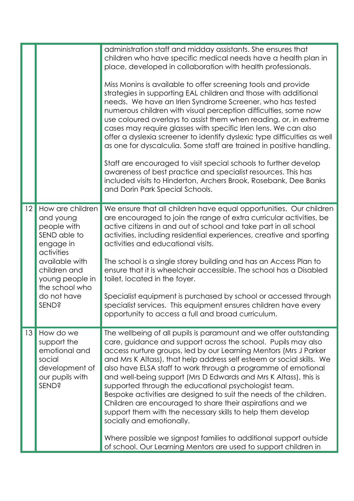|    |                                                                                                                                                                                        | administration staff and midday assistants. She ensures that<br>children who have specific medical needs have a health plan in<br>place, developed in collaboration with health professionals.<br>Miss Monins is available to offer screening tools and provide<br>strategies in supporting EAL children and those with additional<br>needs. We have an Irlen Syndrome Screener, who has tested<br>numerous children with visual perception difficulties, some now<br>use coloured overlays to assist them when reading, or, in extreme<br>cases may require glasses with specific Irlen lens. We can also<br>offer a dyslexia screener to identify dyslexic type difficulties as well                                                                                                                                                              |
|----|----------------------------------------------------------------------------------------------------------------------------------------------------------------------------------------|-----------------------------------------------------------------------------------------------------------------------------------------------------------------------------------------------------------------------------------------------------------------------------------------------------------------------------------------------------------------------------------------------------------------------------------------------------------------------------------------------------------------------------------------------------------------------------------------------------------------------------------------------------------------------------------------------------------------------------------------------------------------------------------------------------------------------------------------------------|
|    |                                                                                                                                                                                        | as one for dyscalculia. Some staff are trained in positive handling.<br>Staff are encouraged to visit special schools to further develop<br>awareness of best practice and specialist resources. This has<br>included visits to Hinderton, Archers Brook, Rosebank, Dee Banks<br>and Dorin Park Special Schools.                                                                                                                                                                                                                                                                                                                                                                                                                                                                                                                                    |
| 12 | How are children<br>and young<br>people with<br>SEND able to<br>engage in<br>activities<br>available with<br>children and<br>young people in<br>the school who<br>do not have<br>SEND? | We ensure that all children have equal opportunities. Our children<br>are encouraged to join the range of extra curricular activities, be<br>active citizens in and out of school and take part in all school<br>activities, including residential experiences, creative and sporting<br>activities and educational visits.<br>The school is a single storey building and has an Access Plan to<br>ensure that it is wheelchair accessible. The school has a Disabled<br>toilet, located in the foyer.<br>Specialist equipment is purchased by school or accessed through<br>specialist services. This equipment ensures children have every<br>opportunity to access a full and broad curriculum.                                                                                                                                                  |
| 13 | How do we<br>support the<br>emotional and<br>social<br>development of<br>our pupils with<br>SEND?                                                                                      | The wellbeing of all pupils is paramount and we offer outstanding<br>care, guidance and support across the school. Pupils may also<br>access nurture groups, led by our Learning Mentors (Mrs J Parker<br>and Mrs K Altass), that help address self esteem or social skills. We<br>also have ELSA staff to work through a programme of emotional<br>and well-being support (Mrs D Edwards and Mrs K Altass), this is<br>supported through the educational psychologist team.<br>Bespoke activities are designed to suit the needs of the children.<br>Children are encouraged to share their aspirations and we<br>support them with the necessary skills to help them develop<br>socially and emotionally.<br>Where possible we signpost families to additional support outside<br>of school. Our Learning Mentors are used to support children in |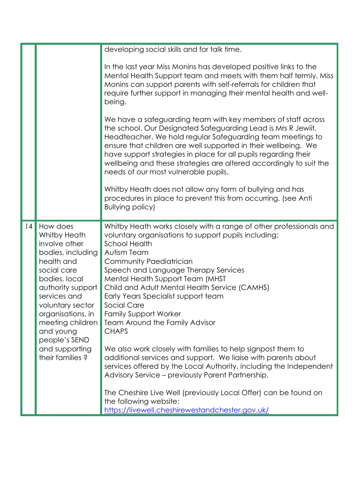|    |                                                                                                                                                                                                                                                                                   | developing social skills and for talk time.                                                                                                                                                                                                                                                                                                                                                                                                                                                                                                                                                                                                                                                                                                                                                            |
|----|-----------------------------------------------------------------------------------------------------------------------------------------------------------------------------------------------------------------------------------------------------------------------------------|--------------------------------------------------------------------------------------------------------------------------------------------------------------------------------------------------------------------------------------------------------------------------------------------------------------------------------------------------------------------------------------------------------------------------------------------------------------------------------------------------------------------------------------------------------------------------------------------------------------------------------------------------------------------------------------------------------------------------------------------------------------------------------------------------------|
|    |                                                                                                                                                                                                                                                                                   | In the last year Miss Monins has developed positive links to the<br>Mental Health Support team and meets with them half termly. Miss<br>Monins can support parents with self-referrals for children that<br>require further support in managing their mental health and well-<br>being.                                                                                                                                                                                                                                                                                                                                                                                                                                                                                                                |
|    |                                                                                                                                                                                                                                                                                   | We have a safeguarding team with key members of staff across<br>the school. Our Designated Safeguarding Lead is Mrs R Jewiit,<br>Headteacher. We hold regular Safeguarding team meetings to<br>ensure that children are well supported in their wellbeing. We<br>have support strategies in place for all pupils regarding their<br>wellbeing and these strategies are altered accordingly to suit the<br>needs of our most vulnerable pupils.                                                                                                                                                                                                                                                                                                                                                         |
|    |                                                                                                                                                                                                                                                                                   | Whitby Heath does not allow any form of bullying and has<br>procedures in place to prevent this from occurring. (see Anti<br><b>Bullying policy)</b>                                                                                                                                                                                                                                                                                                                                                                                                                                                                                                                                                                                                                                                   |
| 14 | How does<br>Whitby Heath<br>involve other<br>bodies, including<br>health and<br>social care<br>bodies, local<br>authority support<br>services and<br>voluntary sector<br>organisations, in<br>meeting children<br>and young<br>people's SEND<br>and supporting<br>their families? | Whitby Heath works closely with a range of other professionals and<br>voluntary organisations to support pupils including:<br><b>School Health</b><br>Autism Team<br>Community Paediatrician<br>Speech and Language Therapy Services<br>Mental Health Support Team (MHST<br>Child and Adult Mental Health Service (CAMHS)<br>Early Years Specialist support team<br>Social Care<br><b>Family Support Worker</b><br><b>Team Around the Family Advisor</b><br><b>CHAPS</b><br>We also work closely with families to help signpost them to<br>additional services and support. We liaise with parents about<br>services offered by the Local Authority, including the Independent<br>Advisory Service - previously Parent Partnership.<br>The Cheshire Live Well (previously Local Offer) can be found on |
|    |                                                                                                                                                                                                                                                                                   | the following website:<br>https://livewell.cheshirewestandchester.gov.uk/                                                                                                                                                                                                                                                                                                                                                                                                                                                                                                                                                                                                                                                                                                                              |